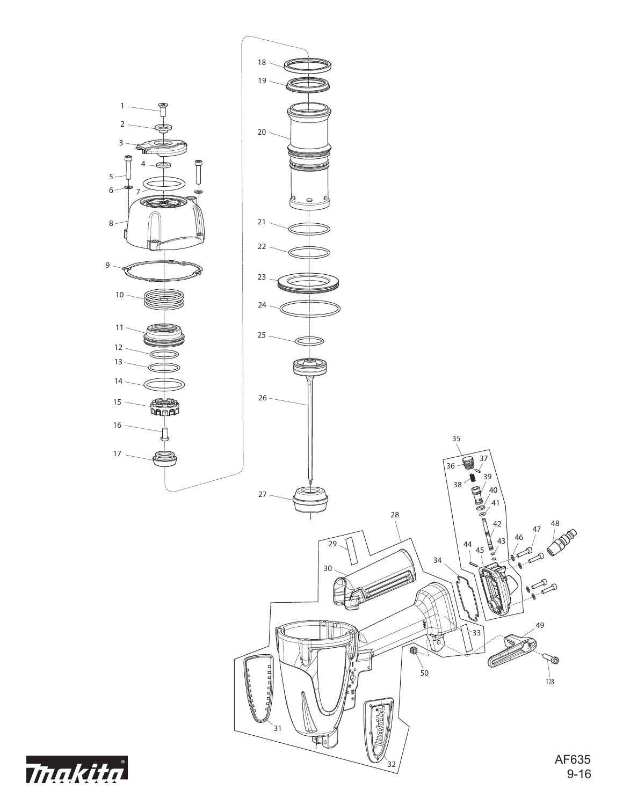

9-16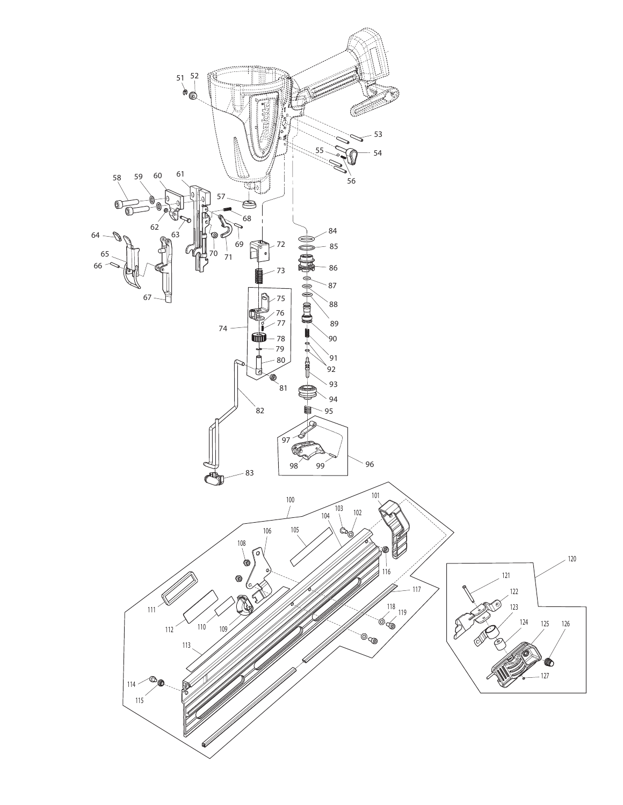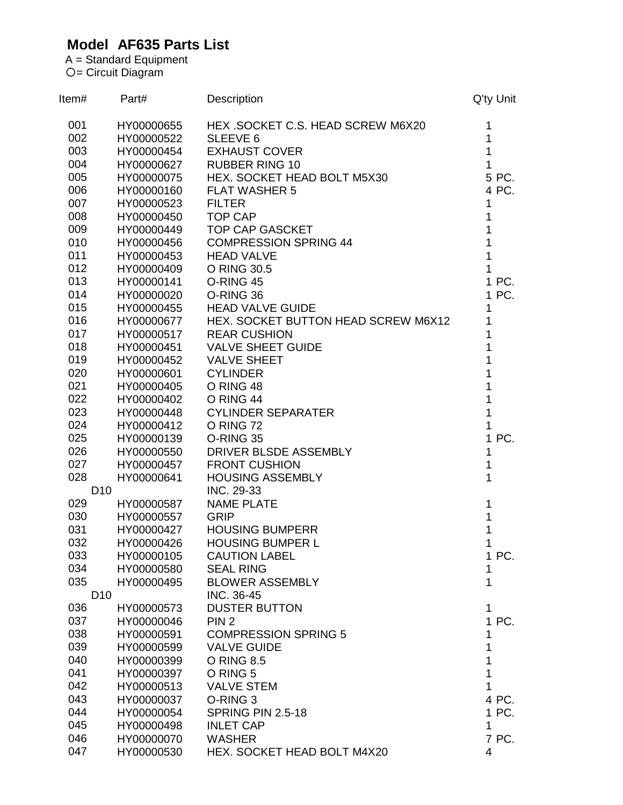## **Model AF635 Parts List**

A = Standard Equipment = Circuit Diagram

| Item# | Part#           | Description                         | Q'ty Unit           |
|-------|-----------------|-------------------------------------|---------------------|
| 001   | HY00000655      | HEX . SOCKET C.S. HEAD SCREW M6X20  | 1                   |
| 002   | HY00000522      | <b>SLEEVE 6</b>                     | 1                   |
| 003   | HY00000454      | <b>EXHAUST COVER</b>                | 1                   |
| 004   | HY00000627      | <b>RUBBER RING 10</b>               | 1                   |
| 005   | HY00000075      | HEX. SOCKET HEAD BOLT M5X30         | 5 PC.               |
| 006   | HY00000160      | <b>FLAT WASHER 5</b>                | 4 PC.               |
| 007   | HY00000523      | <b>FILTER</b>                       | 1                   |
| 008   | HY00000450      | <b>TOP CAP</b>                      | 1                   |
| 009   | HY00000449      | <b>TOP CAP GASCKET</b>              | 1                   |
| 010   | HY00000456      | <b>COMPRESSION SPRING 44</b>        | 1                   |
| 011   | HY00000453      | <b>HEAD VALVE</b>                   | 1                   |
| 012   | HY00000409      | O RING 30.5                         | 1                   |
| 013   | HY00000141      | O-RING 45                           | 1 PC.               |
| 014   | HY00000020      | O-RING 36                           | 1 PC.               |
| 015   | HY00000455      | <b>HEAD VALVE GUIDE</b>             | 1                   |
| 016   | HY00000677      | HEX. SOCKET BUTTON HEAD SCREW M6X12 | 1                   |
| 017   | HY00000517      | <b>REAR CUSHION</b>                 | 1                   |
| 018   | HY00000451      | <b>VALVE SHEET GUIDE</b>            | 1                   |
| 019   | HY00000452      | <b>VALVE SHEET</b>                  | 1                   |
| 020   | HY00000601      | <b>CYLINDER</b>                     | 1                   |
| 021   | HY00000405      | O RING 48                           | 1                   |
| 022   | HY00000402      | O RING 44                           | 1                   |
| 023   | HY00000448      | <b>CYLINDER SEPARATER</b>           | 1                   |
| 024   | HY00000412      | O RING 72                           | 1                   |
| 025   | HY00000139      | O-RING 35                           | PC.<br>1            |
| 026   | HY00000550      | DRIVER BLSDE ASSEMBLY               | 1                   |
| 027   | HY00000457      | <b>FRONT CUSHION</b>                | 1                   |
| 028   | HY00000641      | <b>HOUSING ASSEMBLY</b>             | 1                   |
|       | D <sub>10</sub> | INC. 29-33                          |                     |
| 029   | HY00000587      | <b>NAME PLATE</b>                   | 1                   |
| 030   | HY00000557      | <b>GRIP</b>                         | 1                   |
| 031   | HY00000427      | <b>HOUSING BUMPERR</b>              |                     |
| 032   | HY00000426      | <b>HOUSING BUMPER L</b>             | 1                   |
| 033   | HY00000105      | <b>CAUTION LABEL</b>                | PC.<br>1            |
| 034   | HY00000580      | <b>SEAL RING</b>                    | 1                   |
| 035   | HY00000495      | <b>BLOWER ASSEMBLY</b>              | 1                   |
|       | D <sub>10</sub> | INC. 36-45                          |                     |
| 036   | HY00000573      | <b>DUSTER BUTTON</b>                | 1                   |
| 037   | HY00000046      | PIN <sub>2</sub>                    | $\mathbf{1}$<br>PC. |
| 038   | HY00000591      | <b>COMPRESSION SPRING 5</b>         | 1                   |
| 039   | HY00000599      | <b>VALVE GUIDE</b>                  | 1                   |
| 040   | HY00000399      | <b>O RING 8.5</b>                   | 1                   |
| 041   | HY00000397      | O RING 5                            | 1                   |
| 042   | HY00000513      | <b>VALVE STEM</b>                   | 1                   |
| 043   | HY00000037      | O-RING 3                            | 4 PC.               |
| 044   | HY00000054      | SPRING PIN 2.5-18                   | 1 PC.               |
| 045   | HY00000498      | <b>INLET CAP</b>                    | 1                   |
| 046   | HY00000070      | <b>WASHER</b>                       | 7 PC.               |
| 047   | HY00000530      | HEX. SOCKET HEAD BOLT M4X20         | 4                   |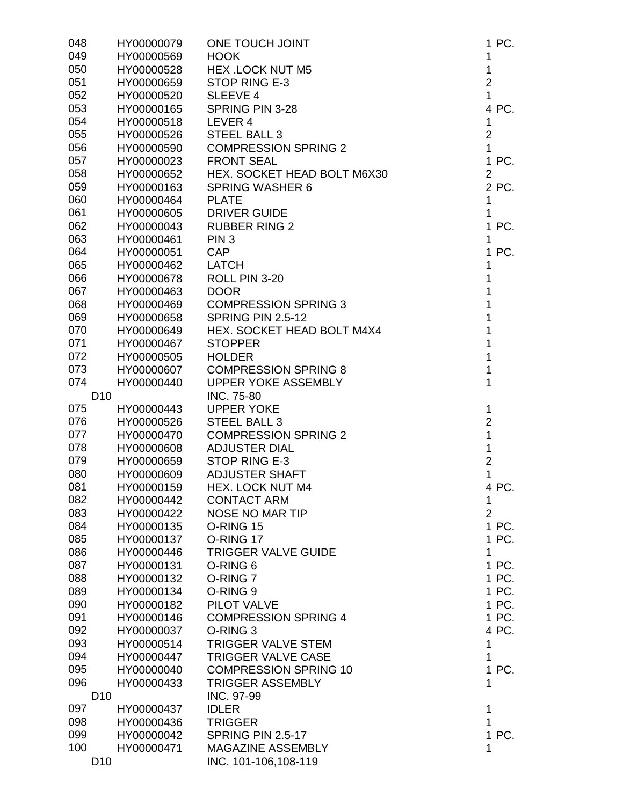| 048             | HY00000079 | ONE TOUCH JOINT              | 1 PC.          |
|-----------------|------------|------------------------------|----------------|
| 049             | HY00000569 | <b>HOOK</b>                  | 1              |
| 050             | HY00000528 | <b>HEX .LOCK NUT M5</b>      | 1              |
| 051             | HY00000659 | STOP RING E-3                | $\overline{2}$ |
| 052             | HY00000520 | <b>SLEEVE 4</b>              | 1              |
| 053             | HY00000165 | SPRING PIN 3-28              | 4 PC.          |
| 054             | HY00000518 | LEVER 4                      | 1              |
| 055             | HY00000526 | <b>STEEL BALL 3</b>          | $\overline{2}$ |
| 056             | HY00000590 | <b>COMPRESSION SPRING 2</b>  | $\mathbf{1}$   |
| 057             | HY00000023 | <b>FRONT SEAL</b>            | 1 PC.          |
| 058             | HY00000652 | HEX. SOCKET HEAD BOLT M6X30  | $\overline{2}$ |
| 059             | HY00000163 | <b>SPRING WASHER 6</b>       | 2 PC.          |
| 060             | HY00000464 | <b>PLATE</b>                 | 1              |
| 061             | HY00000605 | <b>DRIVER GUIDE</b>          | 1              |
| 062             | HY00000043 | <b>RUBBER RING 2</b>         | 1 PC.          |
| 063             | HY00000461 | PIN <sub>3</sub>             |                |
| 064             |            | <b>CAP</b>                   | 1              |
| 065             | HY00000051 |                              | 1 PC.          |
|                 | HY00000462 | <b>LATCH</b>                 | 1              |
| 066             | HY00000678 | ROLL PIN 3-20                | 1              |
| 067             | HY00000463 | <b>DOOR</b>                  | 1              |
| 068             | HY00000469 | <b>COMPRESSION SPRING 3</b>  | 1              |
| 069             | HY00000658 | SPRING PIN 2.5-12            | 1              |
| 070             | HY00000649 | HEX. SOCKET HEAD BOLT M4X4   | 1              |
| 071             | HY00000467 | <b>STOPPER</b>               | 1              |
| 072             | HY00000505 | <b>HOLDER</b>                | 1              |
| 073             | HY00000607 | <b>COMPRESSION SPRING 8</b>  | 1              |
| 074             | HY00000440 | <b>UPPER YOKE ASSEMBLY</b>   | 1              |
| D <sub>10</sub> |            | <b>INC. 75-80</b>            |                |
| 075             | HY00000443 | <b>UPPER YOKE</b>            | 1              |
| 076             | HY00000526 | <b>STEEL BALL 3</b>          | $\overline{2}$ |
| 077             | HY00000470 | <b>COMPRESSION SPRING 2</b>  | 1              |
| 078             | HY00000608 | <b>ADJUSTER DIAL</b>         | 1              |
| 079             | HY00000659 | STOP RING E-3                | $\overline{2}$ |
| 080             | HY00000609 | <b>ADJUSTER SHAFT</b>        | 1              |
| 081             | HY00000159 | <b>HEX. LOCK NUT M4</b>      | 4 PC.          |
| 082             | HY00000442 | <b>CONTACT ARM</b>           | 1              |
| 083             | HY00000422 | <b>NOSE NO MAR TIP</b>       | $\overline{2}$ |
| 084             | HY00000135 | O-RING 15                    | 1 PC.          |
| 085             | HY00000137 | O-RING 17                    | 1 PC.          |
| 086             | HY00000446 | <b>TRIGGER VALVE GUIDE</b>   | 1              |
| 087             | HY00000131 | O-RING 6                     | 1 PC.          |
| 088             | HY00000132 | O-RING 7                     | 1 PC.          |
| 089             | HY00000134 | O-RING 9                     | 1 PC.          |
| 090             | HY00000182 | PILOT VALVE                  | 1 PC.          |
| 091             | HY00000146 | <b>COMPRESSION SPRING 4</b>  | 1 PC.          |
| 092             | HY00000037 | O-RING <sub>3</sub>          | 4 PC.          |
| 093             | HY00000514 | TRIGGER VALVE STEM           | 1              |
| 094             | HY00000447 | <b>TRIGGER VALVE CASE</b>    | 1              |
| 095             | HY00000040 | <b>COMPRESSION SPRING 10</b> | 1 PC.          |
| 096             | HY00000433 | <b>TRIGGER ASSEMBLY</b>      | 1              |
| D <sub>10</sub> |            | INC. 97-99                   |                |
| 097             | HY00000437 | <b>IDLER</b>                 | 1              |
| 098             | HY00000436 | <b>TRIGGER</b>               | 1              |
| 099             | HY00000042 | SPRING PIN 2.5-17            | 1 PC.          |
| 100             | HY00000471 | <b>MAGAZINE ASSEMBLY</b>     | 1              |
| D <sub>10</sub> |            | INC. 101-106,108-119         |                |
|                 |            |                              |                |